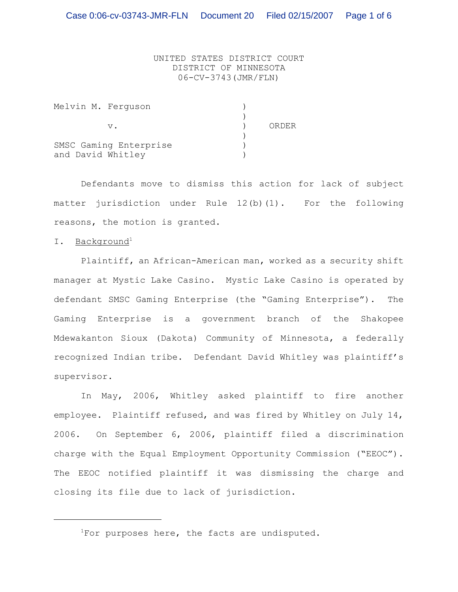UNITED STATES DISTRICT COURT DISTRICT OF MINNESOTA 06-CV-3743(JMR/FLN)

| Melvin M. Ferquson     |       |
|------------------------|-------|
|                        |       |
| v.                     | ORDER |
|                        |       |
| SMSC Gaming Enterprise |       |
| and David Whitley      |       |

Defendants move to dismiss this action for lack of subject matter jurisdiction under Rule 12(b)(1). For the following reasons, the motion is granted.

I. Background<sup>1</sup>

Plaintiff, an African-American man, worked as a security shift manager at Mystic Lake Casino. Mystic Lake Casino is operated by defendant SMSC Gaming Enterprise (the "Gaming Enterprise"). The Gaming Enterprise is a government branch of the Shakopee Mdewakanton Sioux (Dakota) Community of Minnesota, a federally recognized Indian tribe. Defendant David Whitley was plaintiff's supervisor.

In May, 2006, Whitley asked plaintiff to fire another employee. Plaintiff refused, and was fired by Whitley on July 14, 2006. On September 6, 2006, plaintiff filed a discrimination charge with the Equal Employment Opportunity Commission ("EEOC"). The EEOC notified plaintiff it was dismissing the charge and closing its file due to lack of jurisdiction.

<sup>1</sup> For purposes here, the facts are undisputed.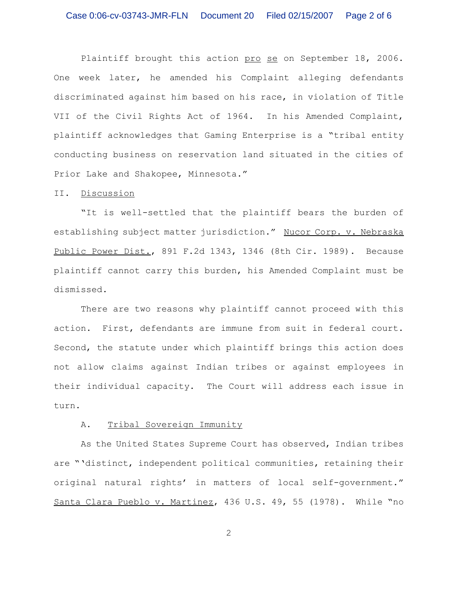Plaintiff brought this action pro se on September 18, 2006. One week later, he amended his Complaint alleging defendants discriminated against him based on his race, in violation of Title VII of the Civil Rights Act of 1964. In his Amended Complaint, plaintiff acknowledges that Gaming Enterprise is a "tribal entity conducting business on reservation land situated in the cities of Prior Lake and Shakopee, Minnesota."

## II. Discussion

"It is well-settled that the plaintiff bears the burden of establishing subject matter jurisdiction." Nucor Corp. v. Nebraska Public Power Dist., 891 F.2d 1343, 1346 (8th Cir. 1989). Because plaintiff cannot carry this burden, his Amended Complaint must be dismissed.

There are two reasons why plaintiff cannot proceed with this action. First, defendants are immune from suit in federal court. Second, the statute under which plaintiff brings this action does not allow claims against Indian tribes or against employees in their individual capacity. The Court will address each issue in turn.

## A. Tribal Sovereign Immunity

As the United States Supreme Court has observed, Indian tribes are "'distinct, independent political communities, retaining their original natural rights' in matters of local self-government." Santa Clara Pueblo v. Martinez, 436 U.S. 49, 55 (1978). While "no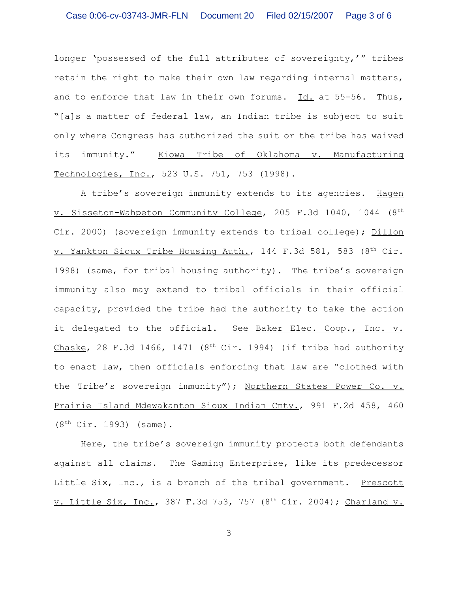## Case 0:06-cv-03743-JMR-FLN Document 20 Filed 02/15/2007 Page 3 of 6

longer 'possessed of the full attributes of sovereignty,'" tribes retain the right to make their own law regarding internal matters, and to enforce that law in their own forums. Id. at 55-56. Thus, "[a]s a matter of federal law, an Indian tribe is subject to suit only where Congress has authorized the suit or the tribe has waived its immunity." Kiowa Tribe of Oklahoma v. Manufacturing Technologies, Inc., 523 U.S. 751, 753 (1998).

A tribe's sovereign immunity extends to its agencies. Hagen v. Sisseton-Wahpeton Community College, 205 F.3d 1040, 1044 (8<sup>th</sup> Cir. 2000) (sovereign immunity extends to tribal college); Dillon v. Yankton Sioux Tribe Housing Auth., 144 F.3d 581, 583 (8<sup>th</sup> Cir. 1998) (same, for tribal housing authority). The tribe's sovereign immunity also may extend to tribal officials in their official capacity, provided the tribe had the authority to take the action it delegated to the official. See Baker Elec. Coop., Inc. v. Chaske, 28 F.3d 1466, 1471 ( $8<sup>th</sup>$  Cir. 1994) (if tribe had authority to enact law, then officials enforcing that law are "clothed with the Tribe's sovereign immunity"); Northern States Power Co. v. Prairie Island Mdewakanton Sioux Indian Cmty., 991 F.2d 458, 460  $(8<sup>th</sup> Cir. 1993)$  (same).

Here, the tribe's sovereign immunity protects both defendants against all claims. The Gaming Enterprise, like its predecessor Little Six, Inc., is a branch of the tribal government. Prescott v. Little Six, Inc., 387 F.3d 753, 757 (8<sup>th</sup> Cir. 2004); Charland v.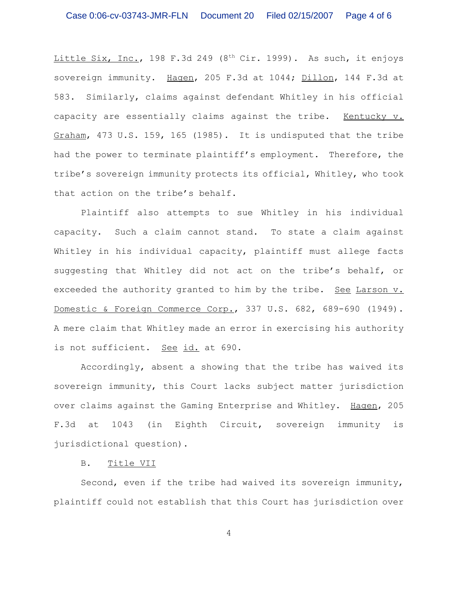Little Six, Inc., 198 F.3d 249 (8<sup>th</sup> Cir. 1999). As such, it enjoys sovereign immunity. Hagen, 205 F.3d at 1044; Dillon, 144 F.3d at 583. Similarly, claims against defendant Whitley in his official capacity are essentially claims against the tribe. Kentucky v. Graham, 473 U.S. 159, 165 (1985). It is undisputed that the tribe had the power to terminate plaintiff's employment. Therefore, the tribe's sovereign immunity protects its official, Whitley, who took that action on the tribe's behalf.

Plaintiff also attempts to sue Whitley in his individual capacity. Such a claim cannot stand. To state a claim against Whitley in his individual capacity, plaintiff must allege facts suggesting that Whitley did not act on the tribe's behalf, or exceeded the authority granted to him by the tribe. See Larson v. Domestic & Foreign Commerce Corp., 337 U.S. 682, 689-690 (1949). A mere claim that Whitley made an error in exercising his authority is not sufficient. See id. at 690.

Accordingly, absent a showing that the tribe has waived its sovereign immunity, this Court lacks subject matter jurisdiction over claims against the Gaming Enterprise and Whitley. Hagen, 205 F.3d at 1043 (in Eighth Circuit, sovereign immunity is jurisdictional question).

B. Title VII

Second, even if the tribe had waived its sovereign immunity, plaintiff could not establish that this Court has jurisdiction over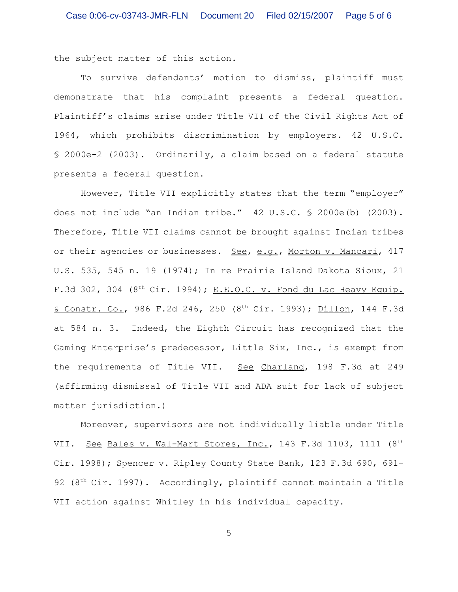the subject matter of this action.

To survive defendants' motion to dismiss, plaintiff must demonstrate that his complaint presents a federal question. Plaintiff's claims arise under Title VII of the Civil Rights Act of 1964, which prohibits discrimination by employers. 42 U.S.C. § 2000e-2 (2003). Ordinarily, a claim based on a federal statute presents a federal question.

However, Title VII explicitly states that the term "employer" does not include "an Indian tribe." 42 U.S.C. § 2000e(b) (2003). Therefore, Title VII claims cannot be brought against Indian tribes or their agencies or businesses. See, e.g., Morton v. Mancari, 417 U.S. 535, 545 n. 19 (1974); In re Prairie Island Dakota Sioux, 21 F.3d 302, 304 ( $8<sup>th</sup>$  Cir. 1994); E.E.O.C. v. Fond du Lac Heavy Equip. & Constr. Co., 986 F.2d 246, 250 (8<sup>th</sup> Cir. 1993); Dillon, 144 F.3d at 584 n. 3. Indeed, the Eighth Circuit has recognized that the Gaming Enterprise's predecessor, Little Six, Inc., is exempt from the requirements of Title VII. See Charland, 198 F.3d at 249 (affirming dismissal of Title VII and ADA suit for lack of subject matter jurisdiction.)

Moreover, supervisors are not individually liable under Title VII. See Bales v. Wal-Mart Stores, Inc., 143 F.3d 1103, 1111 (8<sup>th</sup> Cir. 1998); Spencer v. Ripley County State Bank, 123 F.3d 690, 691-92 ( $8<sup>th</sup> Cir. 1997$ ). Accordingly, plaintiff cannot maintain a Title VII action against Whitley in his individual capacity.